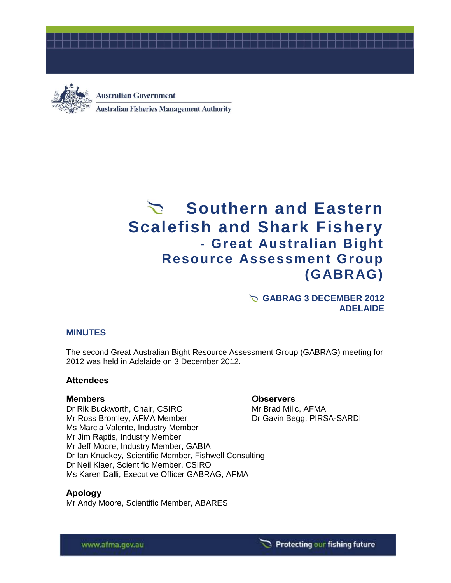



# **Australian Government Australian Fisheries Management Authority**

# Southern and Eastern **Scalefish and Shark Fishery - Great Australian Bight Resource Assessment Group (GABRAG)**

#### **GABRAG 3 DECEMBER 2012 ADELAIDE**

#### **MINUTES**

The second Great Australian Bight Resource Assessment Group (GABRAG) meeting for 2012 was held in Adelaide on 3 December 2012.

#### **Attendees**

**Apology**

Dr Rik Buckworth, Chair, CSIRO Mr Brad Milic, AFMA Mr Ross Bromley, AFMA Member Dr Gavin Begg, PIRSA-SARDI Ms Marcia Valente, Industry Member Mr Jim Raptis, Industry Member Mr Jeff Moore, Industry Member, GABIA Dr Ian Knuckey, Scientific Member, Fishwell Consulting Dr Neil Klaer, Scientific Member, CSIRO Ms Karen Dalli, Executive Officer GABRAG, AFMA

Mr Andy Moore, Scientific Member, ABARES

#### **Members Observers**

www.afma.gov.au

#### Protecting our fishing future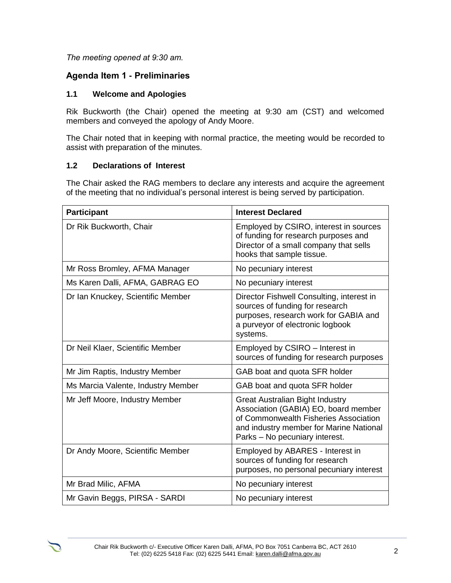*The meeting opened at 9:30 am.* 

# **Agenda Item 1 - Preliminaries**

#### **1.1 Welcome and Apologies**

Rik Buckworth (the Chair) opened the meeting at 9:30 am (CST) and welcomed members and conveyed the apology of Andy Moore.

The Chair noted that in keeping with normal practice, the meeting would be recorded to assist with preparation of the minutes.

#### **1.2 Declarations of Interest**

The Chair asked the RAG members to declare any interests and acquire the agreement of the meeting that no individual's personal interest is being served by participation.

| <b>Participant</b>                 | <b>Interest Declared</b>                                                                                                                                                                             |
|------------------------------------|------------------------------------------------------------------------------------------------------------------------------------------------------------------------------------------------------|
| Dr Rik Buckworth, Chair            | Employed by CSIRO, interest in sources<br>of funding for research purposes and<br>Director of a small company that sells<br>hooks that sample tissue.                                                |
| Mr Ross Bromley, AFMA Manager      | No pecuniary interest                                                                                                                                                                                |
| Ms Karen Dalli, AFMA, GABRAG EO    | No pecuniary interest                                                                                                                                                                                |
| Dr Ian Knuckey, Scientific Member  | Director Fishwell Consulting, interest in<br>sources of funding for research<br>purposes, research work for GABIA and<br>a purveyor of electronic logbook<br>systems.                                |
| Dr Neil Klaer, Scientific Member   | Employed by CSIRO - Interest in<br>sources of funding for research purposes                                                                                                                          |
| Mr Jim Raptis, Industry Member     | GAB boat and quota SFR holder                                                                                                                                                                        |
| Ms Marcia Valente, Industry Member | GAB boat and quota SFR holder                                                                                                                                                                        |
| Mr Jeff Moore, Industry Member     | <b>Great Australian Bight Industry</b><br>Association (GABIA) EO, board member<br>of Commonwealth Fisheries Association<br>and industry member for Marine National<br>Parks - No pecuniary interest. |
| Dr Andy Moore, Scientific Member   | Employed by ABARES - Interest in<br>sources of funding for research<br>purposes, no personal pecuniary interest                                                                                      |
| Mr Brad Milic, AFMA                | No pecuniary interest                                                                                                                                                                                |
| Mr Gavin Beggs, PIRSA - SARDI      | No pecuniary interest                                                                                                                                                                                |

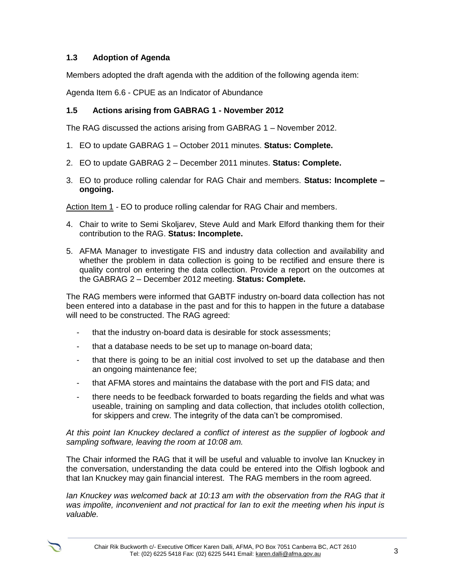#### **1.3 Adoption of Agenda**

Members adopted the draft agenda with the addition of the following agenda item:

Agenda Item 6.6 - CPUE as an Indicator of Abundance

#### **1.5 Actions arising from GABRAG 1 - November 2012**

The RAG discussed the actions arising from GABRAG 1 – November 2012.

- 1. EO to update GABRAG 1 October 2011 minutes. **Status: Complete.**
- 2. EO to update GABRAG 2 December 2011 minutes. **Status: Complete.**
- 3. EO to produce rolling calendar for RAG Chair and members. **Status: Incomplete – ongoing.**

Action Item 1 *-* EO to produce rolling calendar for RAG Chair and members.

- 4. Chair to write to Semi Skoljarev, Steve Auld and Mark Elford thanking them for their contribution to the RAG. **Status: Incomplete.**
- 5. AFMA Manager to investigate FIS and industry data collection and availability and whether the problem in data collection is going to be rectified and ensure there is quality control on entering the data collection. Provide a report on the outcomes at the GABRAG 2 – December 2012 meeting. **Status: Complete.**

The RAG members were informed that GABTF industry on-board data collection has not been entered into a database in the past and for this to happen in the future a database will need to be constructed. The RAG agreed:

- that the industry on-board data is desirable for stock assessments;
- that a database needs to be set up to manage on-board data;
- that there is going to be an initial cost involved to set up the database and then an ongoing maintenance fee;
- that AFMA stores and maintains the database with the port and FIS data; and
- there needs to be feedback forwarded to boats regarding the fields and what was useable, training on sampling and data collection, that includes otolith collection, for skippers and crew. The integrity of the data can't be compromised.

*At this point Ian Knuckey declared a conflict of interest as the supplier of logbook and sampling software, leaving the room at 10:08 am.*

The Chair informed the RAG that it will be useful and valuable to involve Ian Knuckey in the conversation, understanding the data could be entered into the Olfish logbook and that Ian Knuckey may gain financial interest. The RAG members in the room agreed.

*Ian Knuckey was welcomed back at 10:13 am with the observation from the RAG that it was impolite, inconvenient and not practical for Ian to exit the meeting when his input is valuable.*

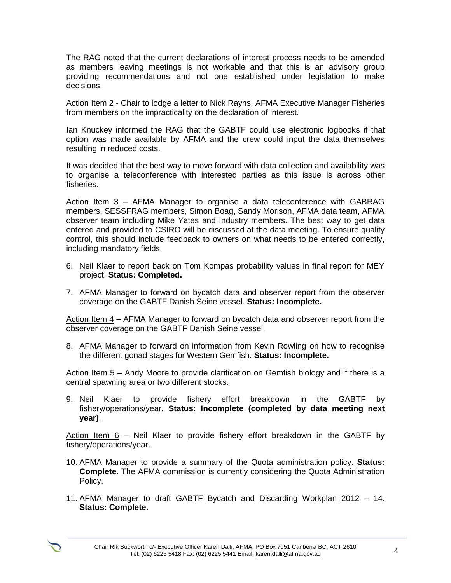The RAG noted that the current declarations of interest process needs to be amended as members leaving meetings is not workable and that this is an advisory group providing recommendations and not one established under legislation to make decisions.

Action Item 2 *-* Chair to lodge a letter to Nick Rayns, AFMA Executive Manager Fisheries from members on the impracticality on the declaration of interest.

Ian Knuckey informed the RAG that the GABTF could use electronic logbooks if that option was made available by AFMA and the crew could input the data themselves resulting in reduced costs.

It was decided that the best way to move forward with data collection and availability was to organise a teleconference with interested parties as this issue is across other fisheries.

Action Item 3 *–* AFMA Manager to organise a data teleconference with GABRAG members, SESSFRAG members, Simon Boag, Sandy Morison, AFMA data team, AFMA observer team including Mike Yates and Industry members. The best way to get data entered and provided to CSIRO will be discussed at the data meeting. To ensure quality control, this should include feedback to owners on what needs to be entered correctly, including mandatory fields.

- 6. Neil Klaer to report back on Tom Kompas probability values in final report for MEY project. **Status: Completed.**
- 7. AFMA Manager to forward on bycatch data and observer report from the observer coverage on the GABTF Danish Seine vessel. **Status: Incomplete.**

Action Item 4 *–* AFMA Manager to forward on bycatch data and observer report from the observer coverage on the GABTF Danish Seine vessel.

8. AFMA Manager to forward on information from Kevin Rowling on how to recognise the different gonad stages for Western Gemfish. **Status: Incomplete.**

Action Item 5 *–* Andy Moore to provide clarification on Gemfish biology and if there is a central spawning area or two different stocks.

9. Neil Klaer to provide fishery effort breakdown in the GABTF by fishery/operations/year. **Status: Incomplete (completed by data meeting next year)**.

Action Item 6 *–* Neil Klaer to provide fishery effort breakdown in the GABTF by fishery/operations/year.

- 10. AFMA Manager to provide a summary of the Quota administration policy. **Status: Complete.** The AFMA commission is currently considering the Quota Administration Policy.
- 11. AFMA Manager to draft GABTF Bycatch and Discarding Workplan 2012 14. **Status: Complete.**

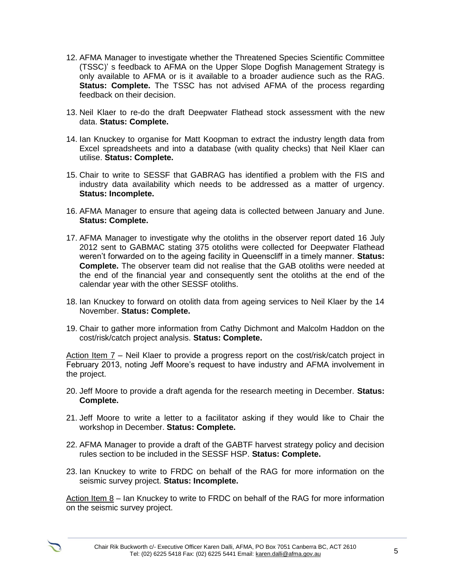- 12. AFMA Manager to investigate whether the Threatened Species Scientific Committee (TSSC)' s feedback to AFMA on the Upper Slope Dogfish Management Strategy is only available to AFMA or is it available to a broader audience such as the RAG. **Status: Complete.** The TSSC has not advised AFMA of the process regarding feedback on their decision.
- 13. Neil Klaer to re-do the draft Deepwater Flathead stock assessment with the new data. **Status: Complete.**
- 14. Ian Knuckey to organise for Matt Koopman to extract the industry length data from Excel spreadsheets and into a database (with quality checks) that Neil Klaer can utilise. **Status: Complete.**
- 15. Chair to write to SESSF that GABRAG has identified a problem with the FIS and industry data availability which needs to be addressed as a matter of urgency. **Status: Incomplete.**
- 16. AFMA Manager to ensure that ageing data is collected between January and June. **Status: Complete.**
- 17. AFMA Manager to investigate why the otoliths in the observer report dated 16 July 2012 sent to GABMAC stating 375 otoliths were collected for Deepwater Flathead weren't forwarded on to the ageing facility in Queenscliff in a timely manner. **Status: Complete.** The observer team did not realise that the GAB otoliths were needed at the end of the financial year and consequently sent the otoliths at the end of the calendar year with the other SESSF otoliths.
- 18. Ian Knuckey to forward on otolith data from ageing services to Neil Klaer by the 14 November. **Status: Complete.**
- 19. Chair to gather more information from Cathy Dichmont and Malcolm Haddon on the cost/risk/catch project analysis. **Status: Complete.**

Action Item 7 *–* Neil Klaer to provide a progress report on the cost/risk/catch project in February 2013, noting Jeff Moore's request to have industry and AFMA involvement in the project.

- 20. Jeff Moore to provide a draft agenda for the research meeting in December. **Status: Complete.**
- 21. Jeff Moore to write a letter to a facilitator asking if they would like to Chair the workshop in December. **Status: Complete.**
- 22. AFMA Manager to provide a draft of the GABTF harvest strategy policy and decision rules section to be included in the SESSF HSP. **Status: Complete.**
- 23. Ian Knuckey to write to FRDC on behalf of the RAG for more information on the seismic survey project. **Status: Incomplete.**

Action Item 8 *–* Ian Knuckey to write to FRDC on behalf of the RAG for more information on the seismic survey project.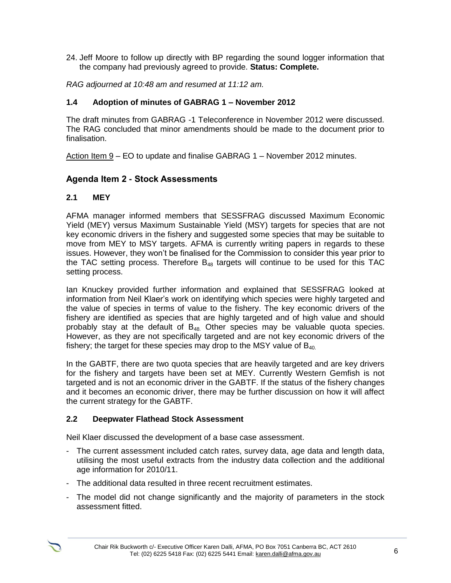24. Jeff Moore to follow up directly with BP regarding the sound logger information that the company had previously agreed to provide. **Status: Complete.**

*RAG adjourned at 10:48 am and resumed at 11:12 am.*

#### **1.4 Adoption of minutes of GABRAG 1 – November 2012**

The draft minutes from GABRAG -1 Teleconference in November 2012 were discussed. The RAG concluded that minor amendments should be made to the document prior to finalisation.

Action Item 9 *–* EO to update and finalise GABRAG 1 – November 2012 minutes.

# **Agenda Item 2 - Stock Assessments**

#### **2.1 MEY**

AFMA manager informed members that SESSFRAG discussed Maximum Economic Yield (MEY) versus Maximum Sustainable Yield (MSY) targets for species that are not key economic drivers in the fishery and suggested some species that may be suitable to move from MEY to MSY targets. AFMA is currently writing papers in regards to these issues. However, they won't be finalised for the Commission to consider this year prior to the TAC setting process. Therefore  $B_{48}$  targets will continue to be used for this TAC setting process.

Ian Knuckey provided further information and explained that SESSFRAG looked at information from Neil Klaer's work on identifying which species were highly targeted and the value of species in terms of value to the fishery. The key economic drivers of the fishery are identified as species that are highly targeted and of high value and should probably stay at the default of  $B_{48}$ . Other species may be valuable quota species. However, as they are not specifically targeted and are not key economic drivers of the fishery; the target for these species may drop to the MSY value of  $B_{40}$ .

In the GABTF, there are two quota species that are heavily targeted and are key drivers for the fishery and targets have been set at MEY. Currently Western Gemfish is not targeted and is not an economic driver in the GABTF. If the status of the fishery changes and it becomes an economic driver, there may be further discussion on how it will affect the current strategy for the GABTF.

#### **2.2 Deepwater Flathead Stock Assessment**

Neil Klaer discussed the development of a base case assessment.

- The current assessment included catch rates, survey data, age data and length data, utilising the most useful extracts from the industry data collection and the additional age information for 2010/11.
- The additional data resulted in three recent recruitment estimates.
- The model did not change significantly and the majority of parameters in the stock assessment fitted.

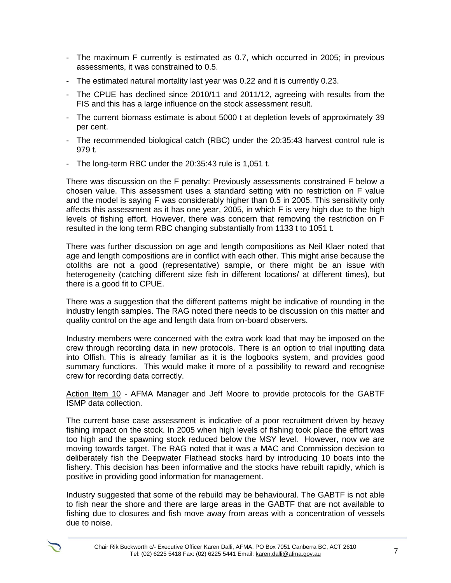- The maximum F currently is estimated as 0.7, which occurred in 2005; in previous assessments, it was constrained to 0.5.
- The estimated natural mortality last year was 0.22 and it is currently 0.23.
- The CPUE has declined since 2010/11 and 2011/12, agreeing with results from the FIS and this has a large influence on the stock assessment result.
- The current biomass estimate is about 5000 t at depletion levels of approximately 39 per cent.
- The recommended biological catch (RBC) under the 20:35:43 harvest control rule is 979 t.
- The long-term RBC under the 20:35:43 rule is 1,051 t.

There was discussion on the F penalty: Previously assessments constrained F below a chosen value. This assessment uses a standard setting with no restriction on F value and the model is saying F was considerably higher than 0.5 in 2005. This sensitivity only affects this assessment as it has one year, 2005, in which F is very high due to the high levels of fishing effort. However, there was concern that removing the restriction on F resulted in the long term RBC changing substantially from 1133 t to 1051 t.

There was further discussion on age and length compositions as Neil Klaer noted that age and length compositions are in conflict with each other. This might arise because the otoliths are not a good (representative) sample, or there might be an issue with heterogeneity (catching different size fish in different locations/ at different times), but there is a good fit to CPUE.

There was a suggestion that the different patterns might be indicative of rounding in the industry length samples. The RAG noted there needs to be discussion on this matter and quality control on the age and length data from on-board observers.

Industry members were concerned with the extra work load that may be imposed on the crew through recording data in new protocols. There is an option to trial inputting data into Olfish. This is already familiar as it is the logbooks system, and provides good summary functions. This would make it more of a possibility to reward and recognise crew for recording data correctly.

Action Item 10 *-* AFMA Manager and Jeff Moore to provide protocols for the GABTF ISMP data collection.

The current base case assessment is indicative of a poor recruitment driven by heavy fishing impact on the stock. In 2005 when high levels of fishing took place the effort was too high and the spawning stock reduced below the MSY level. However, now we are moving towards target. The RAG noted that it was a MAC and Commission decision to deliberately fish the Deepwater Flathead stocks hard by introducing 10 boats into the fishery. This decision has been informative and the stocks have rebuilt rapidly, which is positive in providing good information for management.

Industry suggested that some of the rebuild may be behavioural. The GABTF is not able to fish near the shore and there are large areas in the GABTF that are not available to fishing due to closures and fish move away from areas with a concentration of vessels due to noise.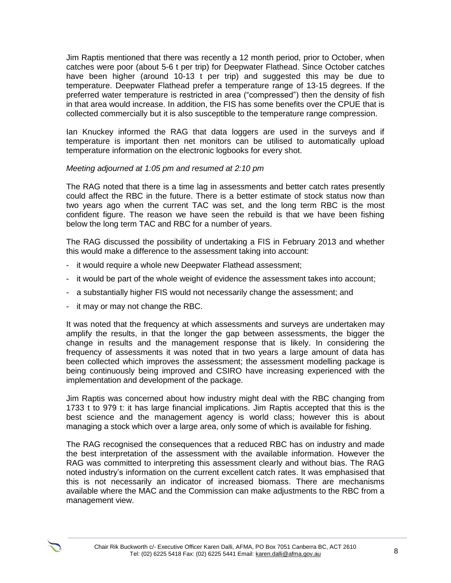Jim Raptis mentioned that there was recently a 12 month period, prior to October, when catches were poor (about 5-6 t per trip) for Deepwater Flathead. Since October catches have been higher (around 10-13 t per trip) and suggested this may be due to temperature. Deepwater Flathead prefer a temperature range of 13-15 degrees. If the preferred water temperature is restricted in area ("compressed") then the density of fish in that area would increase. In addition, the FIS has some benefits over the CPUE that is collected commercially but it is also susceptible to the temperature range compression.

Ian Knuckey informed the RAG that data loggers are used in the surveys and if temperature is important then net monitors can be utilised to automatically upload temperature information on the electronic logbooks for every shot.

#### *Meeting adjourned at 1:05 pm and resumed at 2:10 pm*

The RAG noted that there is a time lag in assessments and better catch rates presently could affect the RBC in the future. There is a better estimate of stock status now than two years ago when the current TAC was set, and the long term RBC is the most confident figure. The reason we have seen the rebuild is that we have been fishing below the long term TAC and RBC for a number of years.

The RAG discussed the possibility of undertaking a FIS in February 2013 and whether this would make a difference to the assessment taking into account:

- it would require a whole new Deepwater Flathead assessment;
- it would be part of the whole weight of evidence the assessment takes into account;
- a substantially higher FIS would not necessarily change the assessment; and
- it may or may not change the RBC.

It was noted that the frequency at which assessments and surveys are undertaken may amplify the results, in that the longer the gap between assessments, the bigger the change in results and the management response that is likely. In considering the frequency of assessments it was noted that in two years a large amount of data has been collected which improves the assessment; the assessment modelling package is being continuously being improved and CSIRO have increasing experienced with the implementation and development of the package.

Jim Raptis was concerned about how industry might deal with the RBC changing from 1733 t to 979 t: it has large financial implications. Jim Raptis accepted that this is the best science and the management agency is world class; however this is about managing a stock which over a large area, only some of which is available for fishing.

The RAG recognised the consequences that a reduced RBC has on industry and made the best interpretation of the assessment with the available information. However the RAG was committed to interpreting this assessment clearly and without bias. The RAG noted industry's information on the current excellent catch rates. It was emphasised that this is not necessarily an indicator of increased biomass. There are mechanisms available where the MAC and the Commission can make adjustments to the RBC from a management view.

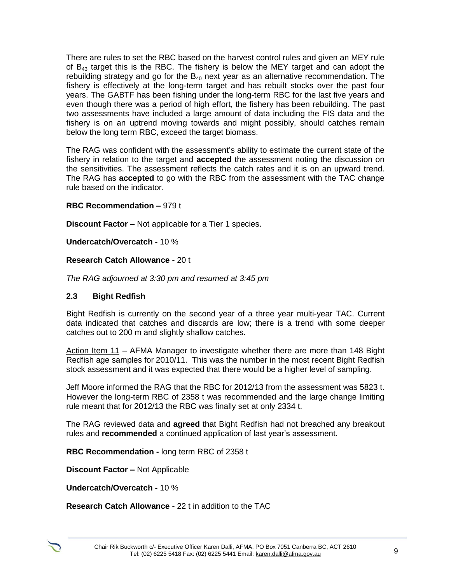There are rules to set the RBC based on the harvest control rules and given an MEY rule of  $B_{43}$  target this is the RBC. The fishery is below the MEY target and can adopt the rebuilding strategy and go for the  $B_{40}$  next year as an alternative recommendation. The fishery is effectively at the long-term target and has rebuilt stocks over the past four years. The GABTF has been fishing under the long-term RBC for the last five years and even though there was a period of high effort, the fishery has been rebuilding. The past two assessments have included a large amount of data including the FIS data and the fishery is on an uptrend moving towards and might possibly, should catches remain below the long term RBC, exceed the target biomass.

The RAG was confident with the assessment's ability to estimate the current state of the fishery in relation to the target and **accepted** the assessment noting the discussion on the sensitivities. The assessment reflects the catch rates and it is on an upward trend. The RAG has **accepted** to go with the RBC from the assessment with the TAC change rule based on the indicator.

#### **RBC Recommendation –** 979 t

**Discount Factor –** Not applicable for a Tier 1 species.

**Undercatch/Overcatch -** 10 %

#### **Research Catch Allowance -** 20 t

*The RAG adjourned at 3:30 pm and resumed at 3:45 pm* 

#### **2.3 Bight Redfish**

Bight Redfish is currently on the second year of a three year multi-year TAC. Current data indicated that catches and discards are low; there is a trend with some deeper catches out to 200 m and slightly shallow catches.

Action Item 11 *–* AFMA Manager to investigate whether there are more than 148 Bight Redfish age samples for 2010/11. This was the number in the most recent Bight Redfish stock assessment and it was expected that there would be a higher level of sampling.

Jeff Moore informed the RAG that the RBC for 2012/13 from the assessment was 5823 t. However the long-term RBC of 2358 t was recommended and the large change limiting rule meant that for 2012/13 the RBC was finally set at only 2334 t.

The RAG reviewed data and **agreed** that Bight Redfish had not breached any breakout rules and **recommended** a continued application of last year's assessment.

**RBC Recommendation -** long term RBC of 2358 t

**Discount Factor –** Not Applicable

**Undercatch/Overcatch -** 10 %

**Research Catch Allowance -** 22 t in addition to the TAC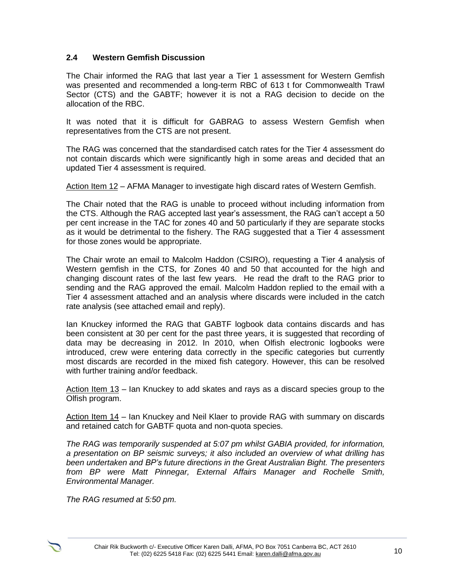#### **2.4 Western Gemfish Discussion**

The Chair informed the RAG that last year a Tier 1 assessment for Western Gemfish was presented and recommended a long-term RBC of 613 t for Commonwealth Trawl Sector (CTS) and the GABTF; however it is not a RAG decision to decide on the allocation of the RBC.

It was noted that it is difficult for GABRAG to assess Western Gemfish when representatives from the CTS are not present.

The RAG was concerned that the standardised catch rates for the Tier 4 assessment do not contain discards which were significantly high in some areas and decided that an updated Tier 4 assessment is required.

Action Item 12 *–* AFMA Manager to investigate high discard rates of Western Gemfish.

The Chair noted that the RAG is unable to proceed without including information from the CTS. Although the RAG accepted last year's assessment, the RAG can't accept a 50 per cent increase in the TAC for zones 40 and 50 particularly if they are separate stocks as it would be detrimental to the fishery. The RAG suggested that a Tier 4 assessment for those zones would be appropriate.

The Chair wrote an email to Malcolm Haddon (CSIRO), requesting a Tier 4 analysis of Western gemfish in the CTS, for Zones 40 and 50 that accounted for the high and changing discount rates of the last few years. He read the draft to the RAG prior to sending and the RAG approved the email. Malcolm Haddon replied to the email with a Tier 4 assessment attached and an analysis where discards were included in the catch rate analysis (see attached email and reply).

Ian Knuckey informed the RAG that GABTF logbook data contains discards and has been consistent at 30 per cent for the past three years, it is suggested that recording of data may be decreasing in 2012. In 2010, when Olfish electronic logbooks were introduced, crew were entering data correctly in the specific categories but currently most discards are recorded in the mixed fish category. However, this can be resolved with further training and/or feedback.

Action Item 13 *–* Ian Knuckey to add skates and rays as a discard species group to the Olfish program.

Action Item 14 *–* Ian Knuckey and Neil Klaer to provide RAG with summary on discards and retained catch for GABTF quota and non-quota species.

*The RAG was temporarily suspended at 5:07 pm whilst GABIA provided, for information, a presentation on BP seismic surveys; it also included an overview of what drilling has been undertaken and BP's future directions in the Great Australian Bight. The presenters from BP were Matt Pinnegar, External Affairs Manager and Rochelle Smith, Environmental Manager.*

*The RAG resumed at 5:50 pm.*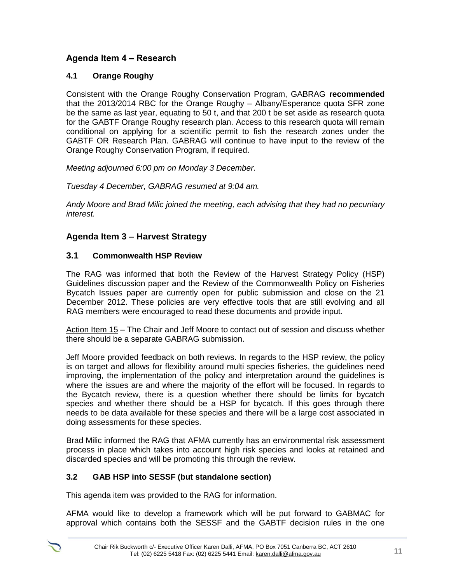# **Agenda Item 4 – Research**

## **4.1 Orange Roughy**

Consistent with the Orange Roughy Conservation Program, GABRAG **recommended** that the 2013/2014 RBC for the Orange Roughy – Albany/Esperance quota SFR zone be the same as last year, equating to 50 t, and that 200 t be set aside as research quota for the GABTF Orange Roughy research plan. Access to this research quota will remain conditional on applying for a scientific permit to fish the research zones under the GABTF OR Research Plan. GABRAG will continue to have input to the review of the Orange Roughy Conservation Program, if required.

*Meeting adjourned 6:00 pm on Monday 3 December.*

*Tuesday 4 December, GABRAG resumed at 9:04 am.* 

*Andy Moore and Brad Milic joined the meeting, each advising that they had no pecuniary interest.*

# **Agenda Item 3 – Harvest Strategy**

#### **3.1 Commonwealth HSP Review**

The RAG was informed that both the Review of the Harvest Strategy Policy (HSP) Guidelines discussion paper and the Review of the Commonwealth Policy on Fisheries Bycatch Issues paper are currently open for public submission and close on the 21 December 2012. These policies are very effective tools that are still evolving and all RAG members were encouraged to read these documents and provide input.

Action Item 15 – The Chair and Jeff Moore to contact out of session and discuss whether there should be a separate GABRAG submission.

Jeff Moore provided feedback on both reviews. In regards to the HSP review, the policy is on target and allows for flexibility around multi species fisheries, the guidelines need improving, the implementation of the policy and interpretation around the guidelines is where the issues are and where the majority of the effort will be focused. In regards to the Bycatch review, there is a question whether there should be limits for bycatch species and whether there should be a HSP for bycatch. If this goes through there needs to be data available for these species and there will be a large cost associated in doing assessments for these species.

Brad Milic informed the RAG that AFMA currently has an environmental risk assessment process in place which takes into account high risk species and looks at retained and discarded species and will be promoting this through the review.

#### **3.2 GAB HSP into SESSF (but standalone section)**

This agenda item was provided to the RAG for information.

AFMA would like to develop a framework which will be put forward to GABMAC for approval which contains both the SESSF and the GABTF decision rules in the one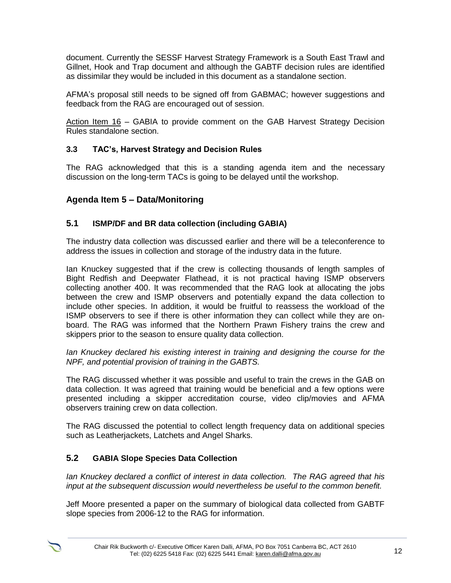document. Currently the SESSF Harvest Strategy Framework is a South East Trawl and Gillnet, Hook and Trap document and although the GABTF decision rules are identified as dissimilar they would be included in this document as a standalone section.

AFMA's proposal still needs to be signed off from GABMAC; however suggestions and feedback from the RAG are encouraged out of session.

Action Item 16 *–* GABIA to provide comment on the GAB Harvest Strategy Decision Rules standalone section.

#### **3.3 TAC's, Harvest Strategy and Decision Rules**

The RAG acknowledged that this is a standing agenda item and the necessary discussion on the long-term TACs is going to be delayed until the workshop.

# **Agenda Item 5 – Data/Monitoring**

#### **5.1 ISMP/DF and BR data collection (including GABIA)**

The industry data collection was discussed earlier and there will be a teleconference to address the issues in collection and storage of the industry data in the future.

Ian Knuckey suggested that if the crew is collecting thousands of length samples of Bight Redfish and Deepwater Flathead, it is not practical having ISMP observers collecting another 400. It was recommended that the RAG look at allocating the jobs between the crew and ISMP observers and potentially expand the data collection to include other species. In addition, it would be fruitful to reassess the workload of the ISMP observers to see if there is other information they can collect while they are onboard. The RAG was informed that the Northern Prawn Fishery trains the crew and skippers prior to the season to ensure quality data collection.

*Ian Knuckey declared his existing interest in training and designing the course for the NPF, and potential provision of training in the GABTS.*

The RAG discussed whether it was possible and useful to train the crews in the GAB on data collection. It was agreed that training would be beneficial and a few options were presented including a skipper accreditation course, video clip/movies and AFMA observers training crew on data collection.

The RAG discussed the potential to collect length frequency data on additional species such as Leatherjackets, Latchets and Angel Sharks.

# **5.2 GABIA Slope Species Data Collection**

*Ian Knuckey declared a conflict of interest in data collection. The RAG agreed that his input at the subsequent discussion would nevertheless be useful to the common benefit.*

Jeff Moore presented a paper on the summary of biological data collected from GABTF slope species from 2006-12 to the RAG for information.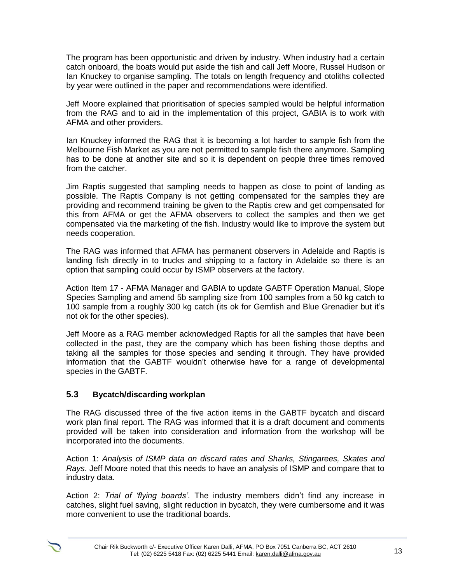The program has been opportunistic and driven by industry. When industry had a certain catch onboard, the boats would put aside the fish and call Jeff Moore, Russel Hudson or Ian Knuckey to organise sampling. The totals on length frequency and otoliths collected by year were outlined in the paper and recommendations were identified.

Jeff Moore explained that prioritisation of species sampled would be helpful information from the RAG and to aid in the implementation of this project, GABIA is to work with AFMA and other providers.

Ian Knuckey informed the RAG that it is becoming a lot harder to sample fish from the Melbourne Fish Market as you are not permitted to sample fish there anymore. Sampling has to be done at another site and so it is dependent on people three times removed from the catcher.

Jim Raptis suggested that sampling needs to happen as close to point of landing as possible. The Raptis Company is not getting compensated for the samples they are providing and recommend training be given to the Raptis crew and get compensated for this from AFMA or get the AFMA observers to collect the samples and then we get compensated via the marketing of the fish. Industry would like to improve the system but needs cooperation.

The RAG was informed that AFMA has permanent observers in Adelaide and Raptis is landing fish directly in to trucks and shipping to a factory in Adelaide so there is an option that sampling could occur by ISMP observers at the factory.

Action Item 17 - AFMA Manager and GABIA to update GABTF Operation Manual, Slope Species Sampling and amend 5b sampling size from 100 samples from a 50 kg catch to 100 sample from a roughly 300 kg catch (its ok for Gemfish and Blue Grenadier but it's not ok for the other species).

Jeff Moore as a RAG member acknowledged Raptis for all the samples that have been collected in the past, they are the company which has been fishing those depths and taking all the samples for those species and sending it through. They have provided information that the GABTF wouldn't otherwise have for a range of developmental species in the GABTF.

#### **5.3 Bycatch/discarding workplan**

The RAG discussed three of the five action items in the GABTF bycatch and discard work plan final report. The RAG was informed that it is a draft document and comments provided will be taken into consideration and information from the workshop will be incorporated into the documents.

Action 1: *Analysis of ISMP data on discard rates and Sharks, Stingarees, Skates and Rays*. Jeff Moore noted that this needs to have an analysis of ISMP and compare that to industry data.

Action 2: *Trial of 'flying boards'*. The industry members didn't find any increase in catches, slight fuel saving, slight reduction in bycatch, they were cumbersome and it was more convenient to use the traditional boards.

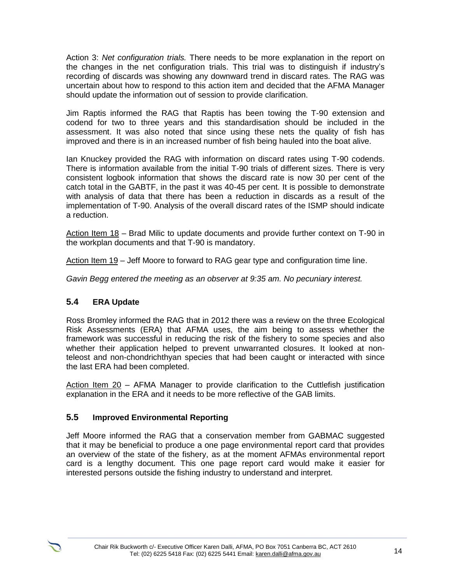Action 3: *Net configuration trials.* There needs to be more explanation in the report on the changes in the net configuration trials. This trial was to distinguish if industry's recording of discards was showing any downward trend in discard rates. The RAG was uncertain about how to respond to this action item and decided that the AFMA Manager should update the information out of session to provide clarification.

Jim Raptis informed the RAG that Raptis has been towing the T-90 extension and codend for two to three years and this standardisation should be included in the assessment. It was also noted that since using these nets the quality of fish has improved and there is in an increased number of fish being hauled into the boat alive.

Ian Knuckey provided the RAG with information on discard rates using T-90 codends. There is information available from the initial T-90 trials of different sizes. There is very consistent logbook information that shows the discard rate is now 30 per cent of the catch total in the GABTF, in the past it was 40-45 per cent. It is possible to demonstrate with analysis of data that there has been a reduction in discards as a result of the implementation of T-90. Analysis of the overall discard rates of the ISMP should indicate a reduction.

Action Item 18 – Brad Milic to update documents and provide further context on T-90 in the workplan documents and that T-90 is mandatory.

Action Item 19 – Jeff Moore to forward to RAG gear type and configuration time line.

*Gavin Begg entered the meeting as an observer at 9:35 am. No pecuniary interest.*

# **5.4 ERA Update**

Ross Bromley informed the RAG that in 2012 there was a review on the three Ecological Risk Assessments (ERA) that AFMA uses, the aim being to assess whether the framework was successful in reducing the risk of the fishery to some species and also whether their application helped to prevent unwarranted closures. It looked at nonteleost and non-chondrichthyan species that had been caught or interacted with since the last ERA had been completed.

Action Item 20 - AFMA Manager to provide clarification to the Cuttlefish justification explanation in the ERA and it needs to be more reflective of the GAB limits.

#### **5.5 Improved Environmental Reporting**

Jeff Moore informed the RAG that a conservation member from GABMAC suggested that it may be beneficial to produce a one page environmental report card that provides an overview of the state of the fishery, as at the moment AFMAs environmental report card is a lengthy document. This one page report card would make it easier for interested persons outside the fishing industry to understand and interpret.

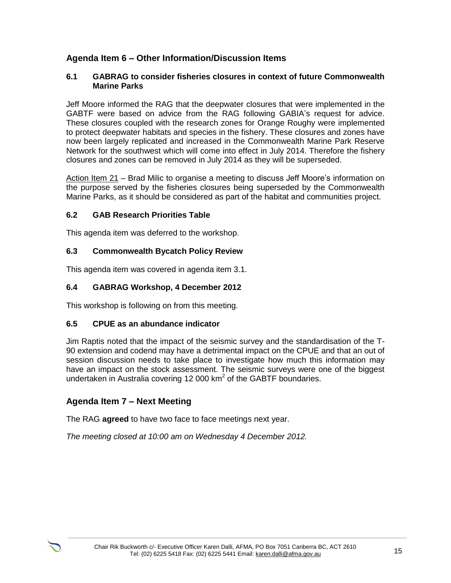# **Agenda Item 6 – Other Information/Discussion Items**

#### **6.1 GABRAG to consider fisheries closures in context of future Commonwealth Marine Parks**

Jeff Moore informed the RAG that the deepwater closures that were implemented in the GABTF were based on advice from the RAG following GABIA's request for advice. These closures coupled with the research zones for Orange Roughy were implemented to protect deepwater habitats and species in the fishery. These closures and zones have now been largely replicated and increased in the Commonwealth Marine Park Reserve Network for the southwest which will come into effect in July 2014. Therefore the fishery closures and zones can be removed in July 2014 as they will be superseded.

Action Item 21 – Brad Milic to organise a meeting to discuss Jeff Moore's information on the purpose served by the fisheries closures being superseded by the Commonwealth Marine Parks, as it should be considered as part of the habitat and communities project.

#### **6.2 GAB Research Priorities Table**

This agenda item was deferred to the workshop.

#### **6.3 Commonwealth Bycatch Policy Review**

This agenda item was covered in agenda item 3.1.

#### **6.4 GABRAG Workshop, 4 December 2012**

This workshop is following on from this meeting.

#### **6.5 CPUE as an abundance indicator**

Jim Raptis noted that the impact of the seismic survey and the standardisation of the T-90 extension and codend may have a detrimental impact on the CPUE and that an out of session discussion needs to take place to investigate how much this information may have an impact on the stock assessment. The seismic surveys were one of the biggest undertaken in Australia covering 12 000 km<sup>2</sup> of the GABTF boundaries.

#### **Agenda Item 7 – Next Meeting**

The RAG **agreed** to have two face to face meetings next year.

*The meeting closed at 10:00 am on Wednesday 4 December 2012.*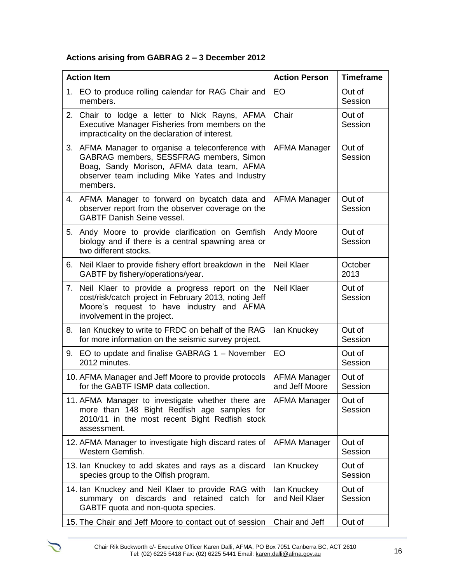# **Actions arising from GABRAG 2 – 3 December 2012**

| <b>Action Item</b> |                                                                                                                                                                                                          | <b>Action Person</b>                  | <b>Timeframe</b>  |
|--------------------|----------------------------------------------------------------------------------------------------------------------------------------------------------------------------------------------------------|---------------------------------------|-------------------|
|                    | 1. EO to produce rolling calendar for RAG Chair and<br>members.                                                                                                                                          | <b>EO</b>                             | Out of<br>Session |
|                    | 2. Chair to lodge a letter to Nick Rayns, AFMA<br>Executive Manager Fisheries from members on the<br>impracticality on the declaration of interest.                                                      | Chair                                 | Out of<br>Session |
|                    | 3. AFMA Manager to organise a teleconference with<br>GABRAG members, SESSFRAG members, Simon<br>Boag, Sandy Morison, AFMA data team, AFMA<br>observer team including Mike Yates and Industry<br>members. | AFMA Manager                          | Out of<br>Session |
|                    | 4. AFMA Manager to forward on bycatch data and<br>observer report from the observer coverage on the<br><b>GABTF Danish Seine vessel.</b>                                                                 | <b>AFMA Manager</b>                   | Out of<br>Session |
| 5.                 | Andy Moore to provide clarification on Gemfish<br>biology and if there is a central spawning area or<br>two different stocks.                                                                            | Andy Moore                            | Out of<br>Session |
| 6.                 | Neil Klaer to provide fishery effort breakdown in the<br>GABTF by fishery/operations/year.                                                                                                               | <b>Neil Klaer</b>                     | October<br>2013   |
| 7.                 | Neil Klaer to provide a progress report on the<br>cost/risk/catch project in February 2013, noting Jeff<br>Moore's request to have industry and AFMA<br>involvement in the project.                      | <b>Neil Klaer</b>                     | Out of<br>Session |
| 8.                 | Ian Knuckey to write to FRDC on behalf of the RAG<br>for more information on the seismic survey project.                                                                                                 | lan Knuckey                           | Out of<br>Session |
|                    | 9. EO to update and finalise GABRAG 1 - November<br>2012 minutes.                                                                                                                                        | EO                                    | Out of<br>Session |
|                    | 10. AFMA Manager and Jeff Moore to provide protocols<br>for the GABTF ISMP data collection.                                                                                                              | <b>AFMA Manager</b><br>and Jeff Moore | Out of<br>Session |
|                    | 11. AFMA Manager to investigate whether there are   AFMA Manager<br>more than 148 Bight Redfish age samples for<br>2010/11 in the most recent Bight Redfish stock<br>assessment.                         |                                       | Out of<br>Session |
|                    | 12. AFMA Manager to investigate high discard rates of<br>Western Gemfish.                                                                                                                                | <b>AFMA Manager</b>                   | Out of<br>Session |
|                    | 13. Ian Knuckey to add skates and rays as a discard<br>species group to the Olfish program.                                                                                                              | lan Knuckey                           | Out of<br>Session |
|                    | 14. Ian Knuckey and Neil Klaer to provide RAG with<br>summary on discards and retained catch for<br>GABTF quota and non-quota species.                                                                   | lan Knuckey<br>and Neil Klaer         | Out of<br>Session |
|                    | 15. The Chair and Jeff Moore to contact out of session                                                                                                                                                   | Chair and Jeff                        | Out of            |

 $\sum$